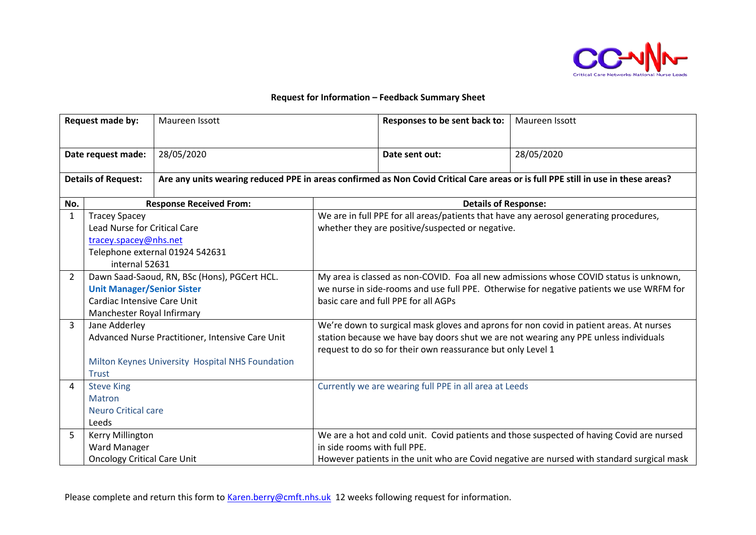

## **Request for Information – Feedback Summary Sheet**

| Request made by:           |                                                                                                                                                | Maureen Issott                                                                                                                    |                                                                                                                                                                                                                                                | Responses to be sent back to: | Maureen Issott |  |
|----------------------------|------------------------------------------------------------------------------------------------------------------------------------------------|-----------------------------------------------------------------------------------------------------------------------------------|------------------------------------------------------------------------------------------------------------------------------------------------------------------------------------------------------------------------------------------------|-------------------------------|----------------|--|
| Date request made:         |                                                                                                                                                | 28/05/2020                                                                                                                        |                                                                                                                                                                                                                                                | Date sent out:                | 28/05/2020     |  |
| <b>Details of Request:</b> |                                                                                                                                                | Are any units wearing reduced PPE in areas confirmed as Non Covid Critical Care areas or is full PPE still in use in these areas? |                                                                                                                                                                                                                                                |                               |                |  |
| No.                        |                                                                                                                                                | <b>Response Received From:</b>                                                                                                    | <b>Details of Response:</b>                                                                                                                                                                                                                    |                               |                |  |
| $\mathbf{1}$               | <b>Tracey Spacey</b><br><b>Lead Nurse for Critical Care</b><br>tracey.spacey@nhs.net<br>Telephone external 01924 542631<br>internal 52631      |                                                                                                                                   | We are in full PPE for all areas/patients that have any aerosol generating procedures,<br>whether they are positive/suspected or negative.                                                                                                     |                               |                |  |
| 2                          | Dawn Saad-Saoud, RN, BSc (Hons), PGCert HCL.<br><b>Unit Manager/Senior Sister</b><br>Cardiac Intensive Care Unit<br>Manchester Royal Infirmary |                                                                                                                                   | My area is classed as non-COVID. Foa all new admissions whose COVID status is unknown,<br>we nurse in side-rooms and use full PPE. Otherwise for negative patients we use WRFM for<br>basic care and full PPE for all AGPs                     |                               |                |  |
| 3                          | Jane Adderley<br>Advanced Nurse Practitioner, Intensive Care Unit<br>Milton Keynes University Hospital NHS Foundation<br><b>Trust</b>          |                                                                                                                                   | We're down to surgical mask gloves and aprons for non covid in patient areas. At nurses<br>station because we have bay doors shut we are not wearing any PPE unless individuals<br>request to do so for their own reassurance but only Level 1 |                               |                |  |
| $\overline{4}$             | <b>Steve King</b><br><b>Matron</b><br><b>Neuro Critical care</b><br>Leeds                                                                      |                                                                                                                                   | Currently we are wearing full PPE in all area at Leeds                                                                                                                                                                                         |                               |                |  |
| 5                          | Kerry Millington<br>Ward Manager<br><b>Oncology Critical Care Unit</b>                                                                         |                                                                                                                                   | We are a hot and cold unit. Covid patients and those suspected of having Covid are nursed<br>in side rooms with full PPE.<br>However patients in the unit who are Covid negative are nursed with standard surgical mask                        |                               |                |  |

Please complete and return this form to [Karen.berry@cmft.nhs.uk](mailto:Karen.berry@cmft.nhs.uk) 12 weeks following request for information.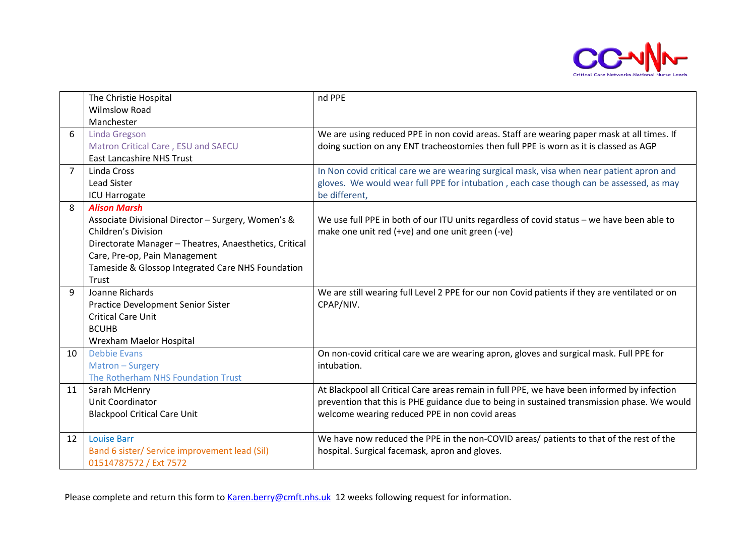

|                | The Christie Hospital                                  | nd PPE                                                                                        |  |
|----------------|--------------------------------------------------------|-----------------------------------------------------------------------------------------------|--|
|                | <b>Wilmslow Road</b>                                   |                                                                                               |  |
|                | Manchester                                             |                                                                                               |  |
| 6              | Linda Gregson                                          | We are using reduced PPE in non covid areas. Staff are wearing paper mask at all times. If    |  |
|                | Matron Critical Care, ESU and SAECU                    | doing suction on any ENT tracheostomies then full PPE is worn as it is classed as AGP         |  |
|                | <b>East Lancashire NHS Trust</b>                       |                                                                                               |  |
| $\overline{7}$ | Linda Cross                                            | In Non covid critical care we are wearing surgical mask, visa when near patient apron and     |  |
|                | <b>Lead Sister</b>                                     | gloves. We would wear full PPE for intubation, each case though can be assessed, as may       |  |
|                | <b>ICU Harrogate</b>                                   | be different,                                                                                 |  |
| 8              | <b>Alison Marsh</b>                                    |                                                                                               |  |
|                | Associate Divisional Director - Surgery, Women's &     | We use full PPE in both of our ITU units regardless of covid status - we have been able to    |  |
|                | Children's Division                                    | make one unit red (+ve) and one unit green (-ve)                                              |  |
|                | Directorate Manager - Theatres, Anaesthetics, Critical |                                                                                               |  |
|                | Care, Pre-op, Pain Management                          |                                                                                               |  |
|                | Tameside & Glossop Integrated Care NHS Foundation      |                                                                                               |  |
|                | Trust                                                  |                                                                                               |  |
| 9              | Joanne Richards                                        | We are still wearing full Level 2 PPE for our non Covid patients if they are ventilated or on |  |
|                | <b>Practice Development Senior Sister</b>              | CPAP/NIV.                                                                                     |  |
|                | <b>Critical Care Unit</b>                              |                                                                                               |  |
|                | <b>BCUHB</b>                                           |                                                                                               |  |
|                | Wrexham Maelor Hospital                                |                                                                                               |  |
| 10             | <b>Debbie Evans</b>                                    | On non-covid critical care we are wearing apron, gloves and surgical mask. Full PPE for       |  |
|                | Matron - Surgery                                       | intubation.                                                                                   |  |
|                | The Rotherham NHS Foundation Trust                     |                                                                                               |  |
| 11             | Sarah McHenry                                          | At Blackpool all Critical Care areas remain in full PPE, we have been informed by infection   |  |
|                | Unit Coordinator                                       | prevention that this is PHE guidance due to being in sustained transmission phase. We would   |  |
|                | <b>Blackpool Critical Care Unit</b>                    | welcome wearing reduced PPE in non covid areas                                                |  |
|                |                                                        |                                                                                               |  |
| 12             | <b>Louise Barr</b>                                     | We have now reduced the PPE in the non-COVID areas/ patients to that of the rest of the       |  |
|                | Band 6 sister/ Service improvement lead (Sil)          | hospital. Surgical facemask, apron and gloves.                                                |  |
|                | 01514787572 / Ext 7572                                 |                                                                                               |  |